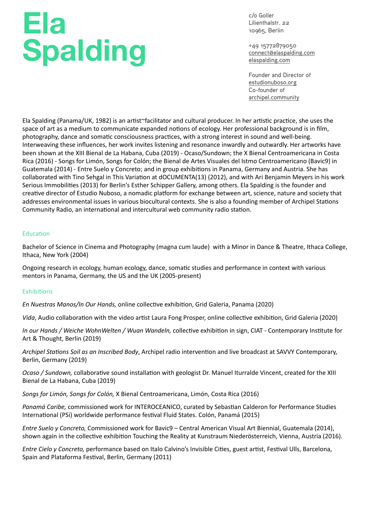# **Ela Spalding**

c/o Goller Lilienthalstr. 22 10965, Berlin

+49 15772879050 [connect@elaspalding.com](mailto:connect@elaspalding.com) [elaspalding.com](http://elaspalding.com)

Founder and Director of [estudionuboso.org](http://estudionuboso.org) Co-founder of [archipel.community](http://archipel.community)

Ela Spalding (Panama/UK, 1982) is an artist~facilitator and cultural producer. In her artistic practice, she uses the space of art as a medium to communicate expanded notions of ecology. Her professional background is in film, photography, dance and somatic consciousness practices, with a strong interest in sound and well-being. Interweaving these influences, her work invites listening and resonance inwardly and outwardly. Her artworks have been shown at the XIII Bienal de La Habana, Cuba (2019) - Ocaso/Sundown; the X Bienal Centroamericana in Costa Rica (2016) - Songs for Limón, Songs for Colón; the Bienal de Artes Visuales del Istmo Centroamericano (Bavic9) in Guatemala (2014) - Entre Suelo y Concreto; and in group exhibitions in Panama, Germany and Austria. She has collaborated with Tino Sehgal in This Variation at dOCUMENTA(13) (2012), and with Ari Benjamin Meyers in his work Serious Immobilities (2013) for Berlin's Esther Schipper Gallery, among others. Ela Spalding is the founder and creative director of Estudio Nuboso, a nomadic platform for exchange between art, science, nature and society that addresses environmental issues in various biocultural contexts. She is also a founding member of Archipel Stations Community Radio, an international and intercultural web community radio station.

# Education

Bachelor of Science in Cinema and Photography (magna cum laude) with a Minor in Dance & Theatre, Ithaca College, Ithaca, New York (2004)

Ongoing research in ecology, human ecology, dance, somatic studies and performance in context with various mentors in Panama, Germany, the US and the UK (2005-present)

### Exhibitions

*En Nuestras Manos/In Our Hands,* online collec9ve exhibi9on, Grid Galeria, Panama (2020)

*Vida*, Audio collaboration with the video artist Laura Fong Prosper, online collective exhibition, Grid Galeria (2020)

*In our Hands / Weiche WohnWelten / Wuan Wandeln, collective exhibition in sign, CIAT - Contemporary Institute for* Art & Thought, Berlin (2019)

*Archipel Stations Soil as an Inscribed Body*, Archipel radio intervention and live broadcast at SAVVY Contemporary, Berlin, Germany (2019)

*Ocaso / Sundown, collaborative sound installation with geologist Dr. Manuel Iturralde Vincent, created for the XIII* Bienal de La Habana, Cuba (2019)

*Songs for Limón, Songs for Colón,* X Bienal Centroamericana, Limón, Costa Rica (2016)

*Panamá Caribe,* commissioned work for INTEROCEANICO, curated by Sebastian Calderon for Performance Studies International (PSi) worldwide performance festival Fluid States. Colón, Panamá (2015)

*Entre Suelo y Concreto,* Commissioned work for Bavic9 – Central American Visual Art Biennial, Guatemala (2014), shown again in the collective exhibition Touching the Reality at Kunstraum Niederösterreich, Vienna, Austria (2016).

*Entre Cielo y Concreto, performance based on Italo Calvino's Invisible Cities, guest artist, Festival Ulls, Barcelona,* Spain and Plataforma Festival, Berlin, Germany (2011)